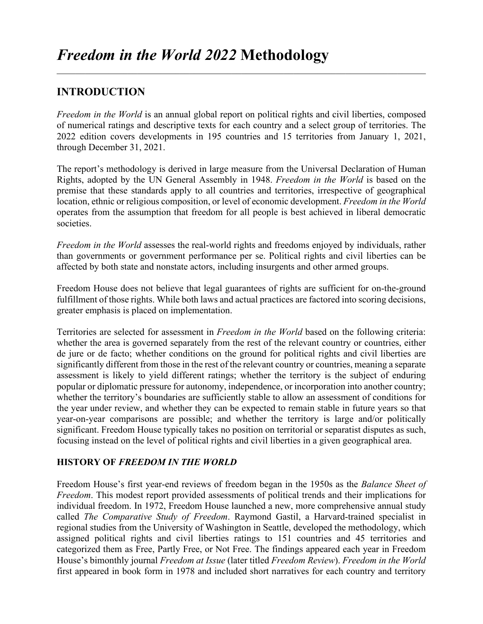# **INTRODUCTION**

*Freedom in the World* is an annual global report on political rights and civil liberties, composed of numerical ratings and descriptive texts for each country and a select group of territories. The 2022 edition covers developments in 195 countries and 15 territories from January 1, 2021, through December 31, 2021.

\_\_\_\_\_\_\_\_\_\_\_\_\_\_\_\_\_\_\_\_\_\_\_\_\_\_\_\_\_\_\_\_\_\_\_\_\_\_\_\_\_\_\_\_\_\_\_\_\_\_\_\_\_\_\_\_\_\_\_\_\_\_\_\_\_\_\_\_\_\_\_\_\_\_\_\_\_\_

The report's methodology is derived in large measure from the Universal Declaration of Human Rights, adopted by the UN General Assembly in 1948. *Freedom in the World* is based on the premise that these standards apply to all countries and territories, irrespective of geographical location, ethnic or religious composition, or level of economic development. *Freedom in the World* operates from the assumption that freedom for all people is best achieved in liberal democratic societies.

*Freedom in the World* assesses the real-world rights and freedoms enjoyed by individuals, rather than governments or government performance per se. Political rights and civil liberties can be affected by both state and nonstate actors, including insurgents and other armed groups.

Freedom House does not believe that legal guarantees of rights are sufficient for on-the-ground fulfillment of those rights. While both laws and actual practices are factored into scoring decisions, greater emphasis is placed on implementation.

Territories are selected for assessment in *Freedom in the World* based on the following criteria: whether the area is governed separately from the rest of the relevant country or countries, either de jure or de facto; whether conditions on the ground for political rights and civil liberties are significantly different from those in the rest of the relevant country or countries, meaning a separate assessment is likely to yield different ratings; whether the territory is the subject of enduring popular or diplomatic pressure for autonomy, independence, or incorporation into another country; whether the territory's boundaries are sufficiently stable to allow an assessment of conditions for the year under review, and whether they can be expected to remain stable in future years so that year-on-year comparisons are possible; and whether the territory is large and/or politically significant. Freedom House typically takes no position on territorial or separatist disputes as such, focusing instead on the level of political rights and civil liberties in a given geographical area.

#### **HISTORY OF** *FREEDOM IN THE WORLD*

Freedom House's first year-end reviews of freedom began in the 1950s as the *Balance Sheet of Freedom*. This modest report provided assessments of political trends and their implications for individual freedom. In 1972, Freedom House launched a new, more comprehensive annual study called *The Comparative Study of Freedom*. Raymond Gastil, a Harvard-trained specialist in regional studies from the University of Washington in Seattle, developed the methodology, which assigned political rights and civil liberties ratings to 151 countries and 45 territories and categorized them as Free, Partly Free, or Not Free. The findings appeared each year in Freedom House's bimonthly journal *Freedom at Issue* (later titled *Freedom Review*). *Freedom in the World* first appeared in book form in 1978 and included short narratives for each country and territory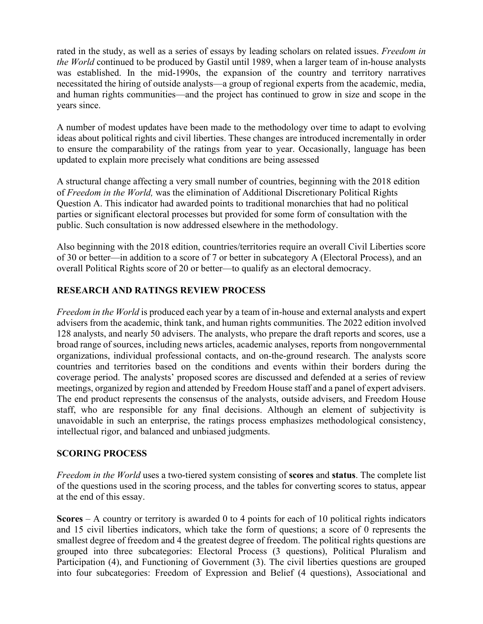rated in the study, as well as a series of essays by leading scholars on related issues. *Freedom in the World* continued to be produced by Gastil until 1989, when a larger team of in-house analysts was established. In the mid-1990s, the expansion of the country and territory narratives necessitated the hiring of outside analysts—a group of regional experts from the academic, media, and human rights communities—and the project has continued to grow in size and scope in the years since.

A number of modest updates have been made to the methodology over time to adapt to evolving ideas about political rights and civil liberties. These changes are introduced incrementally in order to ensure the comparability of the ratings from year to year. Occasionally, language has been updated to explain more precisely what conditions are being assessed

A structural change affecting a very small number of countries, beginning with the 2018 edition of *Freedom in the World,* was the elimination of Additional Discretionary Political Rights Question A. This indicator had awarded points to traditional monarchies that had no political parties or significant electoral processes but provided for some form of consultation with the public. Such consultation is now addressed elsewhere in the methodology.

Also beginning with the 2018 edition, countries/territories require an overall Civil Liberties score of 30 or better—in addition to a score of 7 or better in subcategory A (Electoral Process), and an overall Political Rights score of 20 or better—to qualify as an electoral democracy.

## **RESEARCH AND RATINGS REVIEW PROCESS**

*Freedom in the World* is produced each year by a team of in-house and external analysts and expert advisers from the academic, think tank, and human rights communities. The 2022 edition involved 128 analysts, and nearly 50 advisers. The analysts, who prepare the draft reports and scores, use a broad range of sources, including news articles, academic analyses, reports from nongovernmental organizations, individual professional contacts, and on-the-ground research. The analysts score countries and territories based on the conditions and events within their borders during the coverage period. The analysts' proposed scores are discussed and defended at a series of review meetings, organized by region and attended by Freedom House staff and a panel of expert advisers. The end product represents the consensus of the analysts, outside advisers, and Freedom House staff, who are responsible for any final decisions. Although an element of subjectivity is unavoidable in such an enterprise, the ratings process emphasizes methodological consistency, intellectual rigor, and balanced and unbiased judgments.

#### **SCORING PROCESS**

*Freedom in the World* uses a two-tiered system consisting of **scores** and **status**. The complete list of the questions used in the scoring process, and the tables for converting scores to status, appear at the end of this essay.

**Scores** – A country or territory is awarded 0 to 4 points for each of 10 political rights indicators and 15 civil liberties indicators, which take the form of questions; a score of 0 represents the smallest degree of freedom and 4 the greatest degree of freedom. The political rights questions are grouped into three subcategories: Electoral Process (3 questions), Political Pluralism and Participation (4), and Functioning of Government (3). The civil liberties questions are grouped into four subcategories: Freedom of Expression and Belief (4 questions), Associational and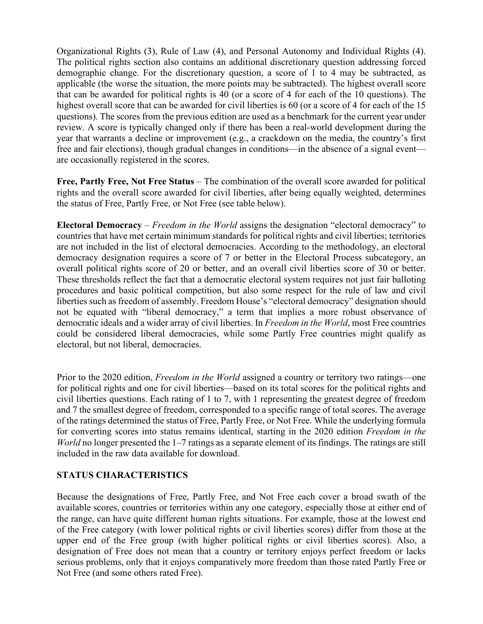Organizational Rights (3), Rule of Law (4), and Personal Autonomy and Individual Rights (4). The political rights section also contains an additional discretionary question addressing forced demographic change. For the discretionary question, a score of 1 to 4 may be subtracted, as applicable (the worse the situation, the more points may be subtracted). The highest overall score that can be awarded for political rights is 40 (or a score of 4 for each of the 10 questions). The highest overall score that can be awarded for civil liberties is 60 (or a score of 4 for each of the 15 questions). The scores from the previous edition are used as a benchmark for the current year under review. A score is typically changed only if there has been a real-world development during the year that warrants a decline or improvement (e.g., a crackdown on the media, the country's first free and fair elections), though gradual changes in conditions—in the absence of a signal event are occasionally registered in the scores.

**Free, Partly Free, Not Free Status** – The combination of the overall score awarded for political rights and the overall score awarded for civil liberties, after being equally weighted, determines the status of Free, Partly Free, or Not Free (see table below).

**Electoral Democracy** – *Freedom in the World* assigns the designation "electoral democracy" to countries that have met certain minimum standards for political rights and civil liberties; territories are not included in the list of electoral democracies. According to the methodology, an electoral democracy designation requires a score of 7 or better in the Electoral Process subcategory, an overall political rights score of 20 or better, and an overall civil liberties score of 30 or better. These thresholds reflect the fact that a democratic electoral system requires not just fair balloting procedures and basic political competition, but also some respect for the rule of law and civil liberties such as freedom of assembly. Freedom House's "electoral democracy" designation should not be equated with "liberal democracy," a term that implies a more robust observance of democratic ideals and a wider array of civil liberties. In *Freedom in the World*, most Free countries could be considered liberal democracies, while some Partly Free countries might qualify as electoral, but not liberal, democracies.

Prior to the 2020 edition, *Freedom in the World* assigned a country or territory two ratings—one for political rights and one for civil liberties—based on its total scores for the political rights and civil liberties questions. Each rating of 1 to 7, with 1 representing the greatest degree of freedom and 7 the smallest degree of freedom, corresponded to a specific range of total scores. The average of the ratings determined the status of Free, Partly Free, or Not Free. While the underlying formula for converting scores into status remains identical, starting in the 2020 edition *Freedom in the World* no longer presented the 1–7 ratings as a separate element of its findings. The ratings are still included in the raw data available for download.

#### **STATUS CHARACTERISTICS**

Because the designations of Free, Partly Free, and Not Free each cover a broad swath of the available scores, countries or territories within any one category, especially those at either end of the range, can have quite different human rights situations. For example, those at the lowest end of the Free category (with lower political rights or civil liberties scores) differ from those at the upper end of the Free group (with higher political rights or civil liberties scores). Also, a designation of Free does not mean that a country or territory enjoys perfect freedom or lacks serious problems, only that it enjoys comparatively more freedom than those rated Partly Free or Not Free (and some others rated Free).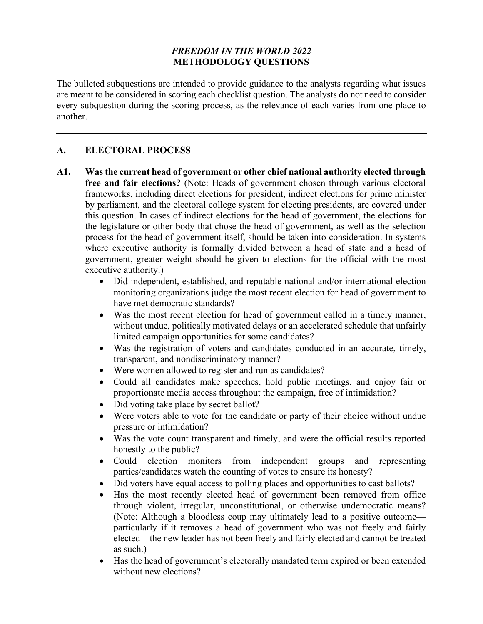#### *FREEDOM IN THE WORLD 2022* **METHODOLOGY QUESTIONS**

The bulleted subquestions are intended to provide guidance to the analysts regarding what issues are meant to be considered in scoring each checklist question. The analysts do not need to consider every subquestion during the scoring process, as the relevance of each varies from one place to another.

#### **A. ELECTORAL PROCESS**

- **A1. Was the current head of government or other chief national authority elected through free and fair elections?** (Note: Heads of government chosen through various electoral frameworks, including direct elections for president, indirect elections for prime minister by parliament, and the electoral college system for electing presidents, are covered under this question. In cases of indirect elections for the head of government, the elections for the legislature or other body that chose the head of government, as well as the selection process for the head of government itself, should be taken into consideration. In systems where executive authority is formally divided between a head of state and a head of government, greater weight should be given to elections for the official with the most executive authority.)
	- Did independent, established, and reputable national and/or international election monitoring organizations judge the most recent election for head of government to have met democratic standards?
	- Was the most recent election for head of government called in a timely manner, without undue, politically motivated delays or an accelerated schedule that unfairly limited campaign opportunities for some candidates?
	- Was the registration of voters and candidates conducted in an accurate, timely, transparent, and nondiscriminatory manner?
	- Were women allowed to register and run as candidates?
	- Could all candidates make speeches, hold public meetings, and enjoy fair or proportionate media access throughout the campaign, free of intimidation?
	- Did voting take place by secret ballot?
	- Were voters able to vote for the candidate or party of their choice without undue pressure or intimidation?
	- Was the vote count transparent and timely, and were the official results reported honestly to the public?
	- Could election monitors from independent groups and representing parties/candidates watch the counting of votes to ensure its honesty?
	- Did voters have equal access to polling places and opportunities to cast ballots?
	- Has the most recently elected head of government been removed from office through violent, irregular, unconstitutional, or otherwise undemocratic means? (Note: Although a bloodless coup may ultimately lead to a positive outcome particularly if it removes a head of government who was not freely and fairly elected—the new leader has not been freely and fairly elected and cannot be treated as such.)
	- Has the head of government's electorally mandated term expired or been extended without new elections?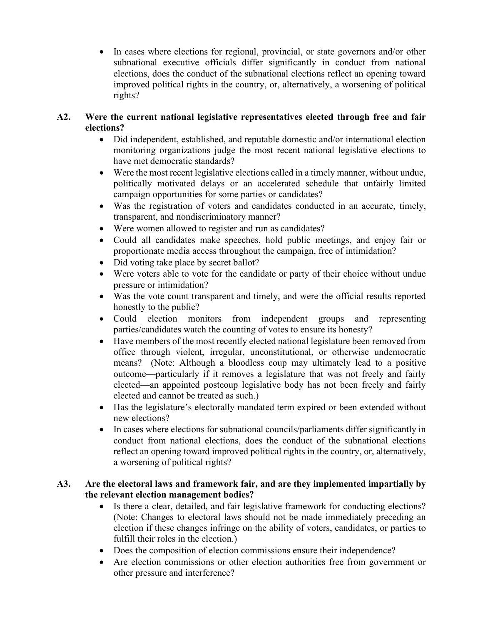• In cases where elections for regional, provincial, or state governors and/or other subnational executive officials differ significantly in conduct from national elections, does the conduct of the subnational elections reflect an opening toward improved political rights in the country, or, alternatively, a worsening of political rights?

#### **A2. Were the current national legislative representatives elected through free and fair elections?**

- Did independent, established, and reputable domestic and/or international election monitoring organizations judge the most recent national legislative elections to have met democratic standards?
- Were the most recent legislative elections called in a timely manner, without undue, politically motivated delays or an accelerated schedule that unfairly limited campaign opportunities for some parties or candidates?
- Was the registration of voters and candidates conducted in an accurate, timely, transparent, and nondiscriminatory manner?
- Were women allowed to register and run as candidates?
- Could all candidates make speeches, hold public meetings, and enjoy fair or proportionate media access throughout the campaign, free of intimidation?
- Did voting take place by secret ballot?
- Were voters able to vote for the candidate or party of their choice without undue pressure or intimidation?
- Was the vote count transparent and timely, and were the official results reported honestly to the public?
- Could election monitors from independent groups and representing parties/candidates watch the counting of votes to ensure its honesty?
- Have members of the most recently elected national legislature been removed from office through violent, irregular, unconstitutional, or otherwise undemocratic means? (Note: Although a bloodless coup may ultimately lead to a positive outcome—particularly if it removes a legislature that was not freely and fairly elected—an appointed postcoup legislative body has not been freely and fairly elected and cannot be treated as such.)
- Has the legislature's electorally mandated term expired or been extended without new elections?
- In cases where elections for subnational councils/parliaments differ significantly in conduct from national elections, does the conduct of the subnational elections reflect an opening toward improved political rights in the country, or, alternatively, a worsening of political rights?

#### **A3. Are the electoral laws and framework fair, and are they implemented impartially by the relevant election management bodies?**

- Is there a clear, detailed, and fair legislative framework for conducting elections? (Note: Changes to electoral laws should not be made immediately preceding an election if these changes infringe on the ability of voters, candidates, or parties to fulfill their roles in the election.)
- Does the composition of election commissions ensure their independence?
- Are election commissions or other election authorities free from government or other pressure and interference?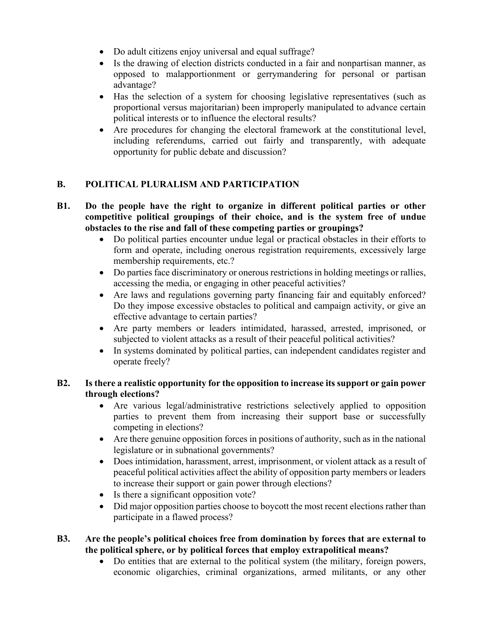- Do adult citizens enjoy universal and equal suffrage?
- Is the drawing of election districts conducted in a fair and nonpartisan manner, as opposed to malapportionment or gerrymandering for personal or partisan advantage?
- Has the selection of a system for choosing legislative representatives (such as proportional versus majoritarian) been improperly manipulated to advance certain political interests or to influence the electoral results?
- Are procedures for changing the electoral framework at the constitutional level, including referendums, carried out fairly and transparently, with adequate opportunity for public debate and discussion?

# **B. POLITICAL PLURALISM AND PARTICIPATION**

- **B1. Do the people have the right to organize in different political parties or other competitive political groupings of their choice, and is the system free of undue obstacles to the rise and fall of these competing parties or groupings?**
	- Do political parties encounter undue legal or practical obstacles in their efforts to form and operate, including onerous registration requirements, excessively large membership requirements, etc.?
	- Do parties face discriminatory or onerous restrictions in holding meetings or rallies, accessing the media, or engaging in other peaceful activities?
	- Are laws and regulations governing party financing fair and equitably enforced? Do they impose excessive obstacles to political and campaign activity, or give an effective advantage to certain parties?
	- Are party members or leaders intimidated, harassed, arrested, imprisoned, or subjected to violent attacks as a result of their peaceful political activities?
	- In systems dominated by political parties, can independent candidates register and operate freely?

## **B2. Is there a realistic opportunity for the opposition to increase its support or gain power through elections?**

- Are various legal/administrative restrictions selectively applied to opposition parties to prevent them from increasing their support base or successfully competing in elections?
- Are there genuine opposition forces in positions of authority, such as in the national legislature or in subnational governments?
- Does intimidation, harassment, arrest, imprisonment, or violent attack as a result of peaceful political activities affect the ability of opposition party members or leaders to increase their support or gain power through elections?
- Is there a significant opposition vote?
- Did major opposition parties choose to boycott the most recent elections rather than participate in a flawed process?

#### **B3. Are the people's political choices free from domination by forces that are external to the political sphere, or by political forces that employ extrapolitical means?**

• Do entities that are external to the political system (the military, foreign powers, economic oligarchies, criminal organizations, armed militants, or any other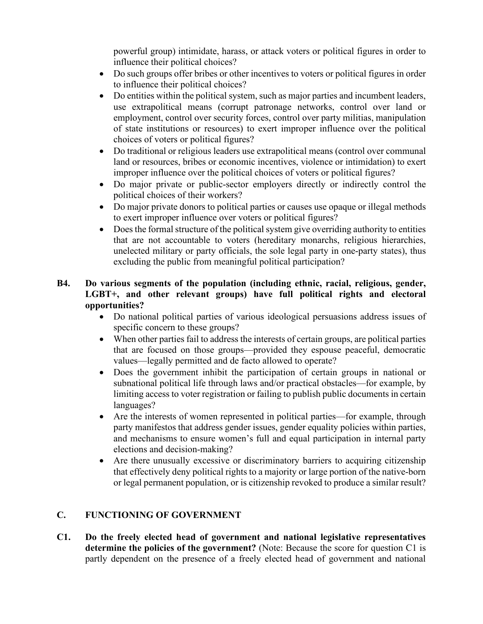powerful group) intimidate, harass, or attack voters or political figures in order to influence their political choices?

- Do such groups offer bribes or other incentives to voters or political figures in order to influence their political choices?
- Do entities within the political system, such as major parties and incumbent leaders, use extrapolitical means (corrupt patronage networks, control over land or employment, control over security forces, control over party militias, manipulation of state institutions or resources) to exert improper influence over the political choices of voters or political figures?
- Do traditional or religious leaders use extrapolitical means (control over communal land or resources, bribes or economic incentives, violence or intimidation) to exert improper influence over the political choices of voters or political figures?
- Do major private or public-sector employers directly or indirectly control the political choices of their workers?
- Do major private donors to political parties or causes use opaque or illegal methods to exert improper influence over voters or political figures?
- Does the formal structure of the political system give overriding authority to entities that are not accountable to voters (hereditary monarchs, religious hierarchies, unelected military or party officials, the sole legal party in one-party states), thus excluding the public from meaningful political participation?

#### **B4. Do various segments of the population (including ethnic, racial, religious, gender, LGBT+, and other relevant groups) have full political rights and electoral opportunities?**

- Do national political parties of various ideological persuasions address issues of specific concern to these groups?
- When other parties fail to address the interests of certain groups, are political parties that are focused on those groups—provided they espouse peaceful, democratic values—legally permitted and de facto allowed to operate?
- Does the government inhibit the participation of certain groups in national or subnational political life through laws and/or practical obstacles—for example, by limiting access to voter registration or failing to publish public documents in certain languages?
- Are the interests of women represented in political parties—for example, through party manifestos that address gender issues, gender equality policies within parties, and mechanisms to ensure women's full and equal participation in internal party elections and decision-making?
- Are there unusually excessive or discriminatory barriers to acquiring citizenship that effectively deny political rights to a majority or large portion of the native-born or legal permanent population, or is citizenship revoked to produce a similar result?

# **C. FUNCTIONING OF GOVERNMENT**

**C1. Do the freely elected head of government and national legislative representatives determine the policies of the government?** (Note: Because the score for question C1 is partly dependent on the presence of a freely elected head of government and national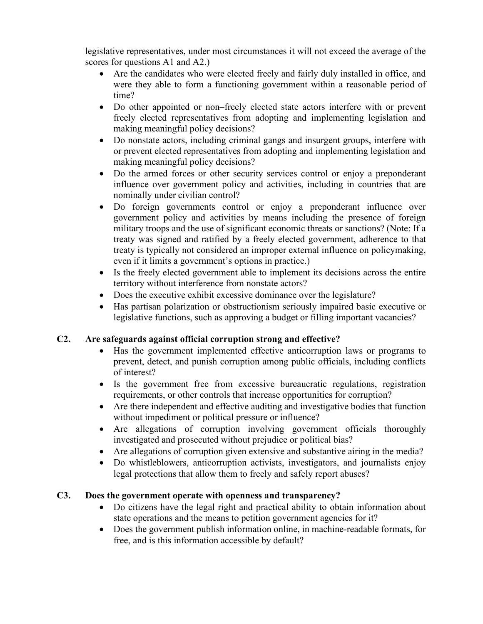legislative representatives, under most circumstances it will not exceed the average of the scores for questions A1 and A2.)

- Are the candidates who were elected freely and fairly duly installed in office, and were they able to form a functioning government within a reasonable period of time?
- Do other appointed or non–freely elected state actors interfere with or prevent freely elected representatives from adopting and implementing legislation and making meaningful policy decisions?
- Do nonstate actors, including criminal gangs and insurgent groups, interfere with or prevent elected representatives from adopting and implementing legislation and making meaningful policy decisions?
- Do the armed forces or other security services control or enjoy a preponderant influence over government policy and activities, including in countries that are nominally under civilian control?
- Do foreign governments control or enjoy a preponderant influence over government policy and activities by means including the presence of foreign military troops and the use of significant economic threats or sanctions? (Note: If a treaty was signed and ratified by a freely elected government, adherence to that treaty is typically not considered an improper external influence on policymaking, even if it limits a government's options in practice.)
- Is the freely elected government able to implement its decisions across the entire territory without interference from nonstate actors?
- Does the executive exhibit excessive dominance over the legislature?
- Has partisan polarization or obstructionism seriously impaired basic executive or legislative functions, such as approving a budget or filling important vacancies?

# **C2. Are safeguards against official corruption strong and effective?**

- Has the government implemented effective anticorruption laws or programs to prevent, detect, and punish corruption among public officials, including conflicts of interest?
- Is the government free from excessive bureaucratic regulations, registration requirements, or other controls that increase opportunities for corruption?
- Are there independent and effective auditing and investigative bodies that function without impediment or political pressure or influence?
- Are allegations of corruption involving government officials thoroughly investigated and prosecuted without prejudice or political bias?
- Are allegations of corruption given extensive and substantive airing in the media?
- Do whistleblowers, anticorruption activists, investigators, and journalists enjoy legal protections that allow them to freely and safely report abuses?

# **C3. Does the government operate with openness and transparency?**

- Do citizens have the legal right and practical ability to obtain information about state operations and the means to petition government agencies for it?
- Does the government publish information online, in machine-readable formats, for free, and is this information accessible by default?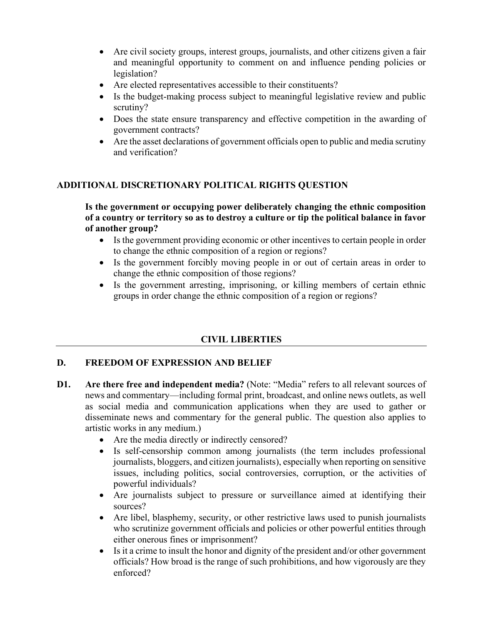- Are civil society groups, interest groups, journalists, and other citizens given a fair and meaningful opportunity to comment on and influence pending policies or legislation?
- Are elected representatives accessible to their constituents?
- Is the budget-making process subject to meaningful legislative review and public scrutiny?
- Does the state ensure transparency and effective competition in the awarding of government contracts?
- Are the asset declarations of government officials open to public and media scrutiny and verification?

## **ADDITIONAL DISCRETIONARY POLITICAL RIGHTS QUESTION**

**Is the government or occupying power deliberately changing the ethnic composition of a country or territory so as to destroy a culture or tip the political balance in favor of another group?**

- Is the government providing economic or other incentives to certain people in order to change the ethnic composition of a region or regions?
- Is the government forcibly moving people in or out of certain areas in order to change the ethnic composition of those regions?
- Is the government arresting, imprisoning, or killing members of certain ethnic groups in order change the ethnic composition of a region or regions?

# **CIVIL LIBERTIES**

#### **D. FREEDOM OF EXPRESSION AND BELIEF**

- **D1.** Are there free and independent media? (Note: "Media" refers to all relevant sources of news and commentary—including formal print, broadcast, and online news outlets, as well as social media and communication applications when they are used to gather or disseminate news and commentary for the general public. The question also applies to artistic works in any medium.)
	- Are the media directly or indirectly censored?
	- Is self-censorship common among journalists (the term includes professional journalists, bloggers, and citizen journalists), especially when reporting on sensitive issues, including politics, social controversies, corruption, or the activities of powerful individuals?
	- Are journalists subject to pressure or surveillance aimed at identifying their sources?
	- Are libel, blasphemy, security, or other restrictive laws used to punish journalists who scrutinize government officials and policies or other powerful entities through either onerous fines or imprisonment?
	- Is it a crime to insult the honor and dignity of the president and/or other government officials? How broad is the range of such prohibitions, and how vigorously are they enforced?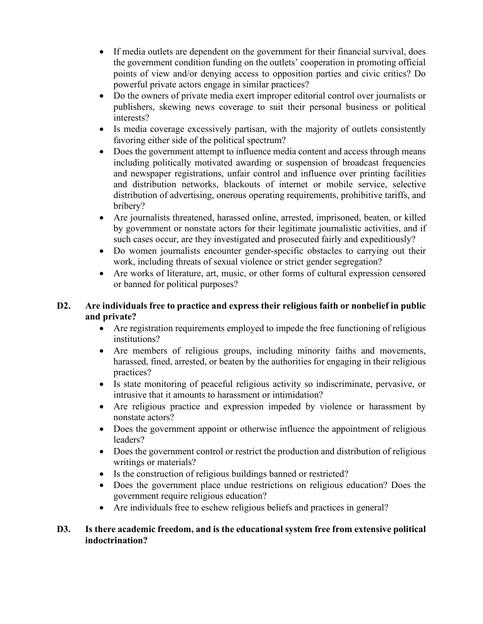- If media outlets are dependent on the government for their financial survival, does the government condition funding on the outlets' cooperation in promoting official points of view and/or denying access to opposition parties and civic critics? Do powerful private actors engage in similar practices?
- Do the owners of private media exert improper editorial control over journalists or publishers, skewing news coverage to suit their personal business or political interests?
- Is media coverage excessively partisan, with the majority of outlets consistently favoring either side of the political spectrum?
- Does the government attempt to influence media content and access through means including politically motivated awarding or suspension of broadcast frequencies and newspaper registrations, unfair control and influence over printing facilities and distribution networks, blackouts of internet or mobile service, selective distribution of advertising, onerous operating requirements, prohibitive tariffs, and bribery?
- Are journalists threatened, harassed online, arrested, imprisoned, beaten, or killed by government or nonstate actors for their legitimate journalistic activities, and if such cases occur, are they investigated and prosecuted fairly and expeditiously?
- Do women journalists encounter gender-specific obstacles to carrying out their work, including threats of sexual violence or strict gender segregation?
- Are works of literature, art, music, or other forms of cultural expression censored or banned for political purposes?

#### **D2. Are individuals free to practice and express their religious faith or nonbelief in public and private?**

- Are registration requirements employed to impede the free functioning of religious institutions?
- Are members of religious groups, including minority faiths and movements, harassed, fined, arrested, or beaten by the authorities for engaging in their religious practices?
- Is state monitoring of peaceful religious activity so indiscriminate, pervasive, or intrusive that it amounts to harassment or intimidation?
- Are religious practice and expression impeded by violence or harassment by nonstate actors?
- Does the government appoint or otherwise influence the appointment of religious leaders?
- Does the government control or restrict the production and distribution of religious writings or materials?
- Is the construction of religious buildings banned or restricted?
- Does the government place undue restrictions on religious education? Does the government require religious education?
- Are individuals free to eschew religious beliefs and practices in general?

## **D3. Is there academic freedom, and is the educational system free from extensive political indoctrination?**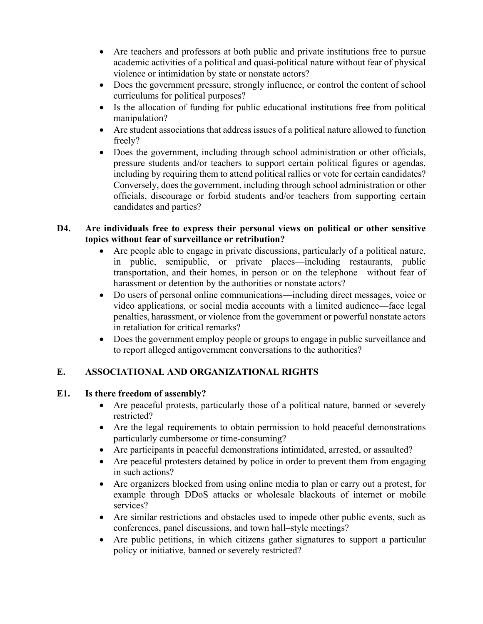- Are teachers and professors at both public and private institutions free to pursue academic activities of a political and quasi-political nature without fear of physical violence or intimidation by state or nonstate actors?
- Does the government pressure, strongly influence, or control the content of school curriculums for political purposes?
- Is the allocation of funding for public educational institutions free from political manipulation?
- Are student associations that address issues of a political nature allowed to function freely?
- Does the government, including through school administration or other officials, pressure students and/or teachers to support certain political figures or agendas, including by requiring them to attend political rallies or vote for certain candidates? Conversely, does the government, including through school administration or other officials, discourage or forbid students and/or teachers from supporting certain candidates and parties?

#### **D4. Are individuals free to express their personal views on political or other sensitive topics without fear of surveillance or retribution?**

- Are people able to engage in private discussions, particularly of a political nature, in public, semipublic, or private places—including restaurants, public transportation, and their homes, in person or on the telephone—without fear of harassment or detention by the authorities or nonstate actors?
- Do users of personal online communications—including direct messages, voice or video applications, or social media accounts with a limited audience—face legal penalties, harassment, or violence from the government or powerful nonstate actors in retaliation for critical remarks?
- Does the government employ people or groups to engage in public surveillance and to report alleged antigovernment conversations to the authorities?

# **E. ASSOCIATIONAL AND ORGANIZATIONAL RIGHTS**

# **E1. Is there freedom of assembly?**

- Are peaceful protests, particularly those of a political nature, banned or severely restricted?
- Are the legal requirements to obtain permission to hold peaceful demonstrations particularly cumbersome or time-consuming?
- Are participants in peaceful demonstrations intimidated, arrested, or assaulted?
- Are peaceful protesters detained by police in order to prevent them from engaging in such actions?
- Are organizers blocked from using online media to plan or carry out a protest, for example through DDoS attacks or wholesale blackouts of internet or mobile services?
- Are similar restrictions and obstacles used to impede other public events, such as conferences, panel discussions, and town hall–style meetings?
- Are public petitions, in which citizens gather signatures to support a particular policy or initiative, banned or severely restricted?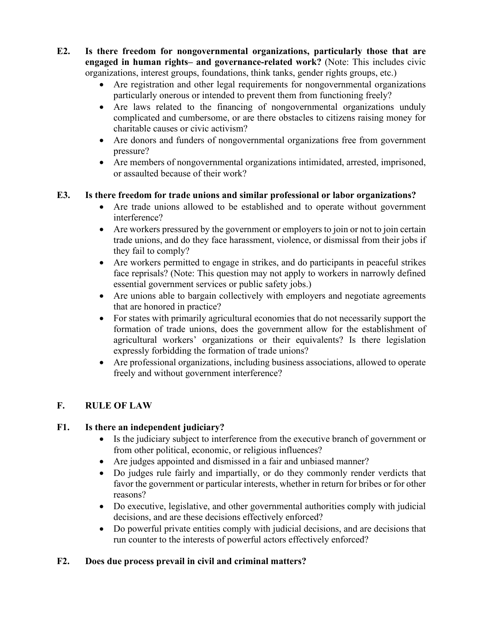- **E2. Is there freedom for nongovernmental organizations, particularly those that are engaged in human rights– and governance-related work?** (Note: This includes civic organizations, interest groups, foundations, think tanks, gender rights groups, etc.)
	- Are registration and other legal requirements for nongovernmental organizations particularly onerous or intended to prevent them from functioning freely?
	- Are laws related to the financing of nongovernmental organizations unduly complicated and cumbersome, or are there obstacles to citizens raising money for charitable causes or civic activism?
	- Are donors and funders of nongovernmental organizations free from government pressure?
	- Are members of nongovernmental organizations intimidated, arrested, imprisoned, or assaulted because of their work?

# **E3. Is there freedom for trade unions and similar professional or labor organizations?**

- Are trade unions allowed to be established and to operate without government interference?
- Are workers pressured by the government or employers to join or not to join certain trade unions, and do they face harassment, violence, or dismissal from their jobs if they fail to comply?
- Are workers permitted to engage in strikes, and do participants in peaceful strikes face reprisals? (Note: This question may not apply to workers in narrowly defined essential government services or public safety jobs.)
- Are unions able to bargain collectively with employers and negotiate agreements that are honored in practice?
- For states with primarily agricultural economies that do not necessarily support the formation of trade unions, does the government allow for the establishment of agricultural workers' organizations or their equivalents? Is there legislation expressly forbidding the formation of trade unions?
- Are professional organizations, including business associations, allowed to operate freely and without government interference?

# **F. RULE OF LAW**

# **F1. Is there an independent judiciary?**

- Is the judiciary subject to interference from the executive branch of government or from other political, economic, or religious influences?
- Are judges appointed and dismissed in a fair and unbiased manner?
- Do judges rule fairly and impartially, or do they commonly render verdicts that favor the government or particular interests, whether in return for bribes or for other reasons?
- Do executive, legislative, and other governmental authorities comply with judicial decisions, and are these decisions effectively enforced?
- Do powerful private entities comply with judicial decisions, and are decisions that run counter to the interests of powerful actors effectively enforced?

# **F2. Does due process prevail in civil and criminal matters?**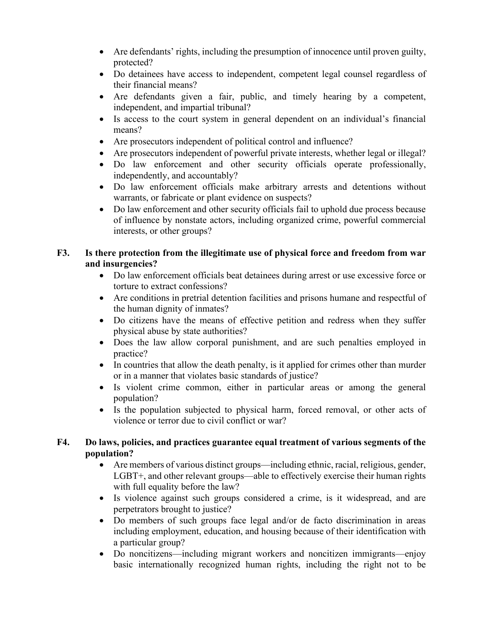- Are defendants' rights, including the presumption of innocence until proven guilty, protected?
- Do detainees have access to independent, competent legal counsel regardless of their financial means?
- Are defendants given a fair, public, and timely hearing by a competent, independent, and impartial tribunal?
- Is access to the court system in general dependent on an individual's financial means?
- Are prosecutors independent of political control and influence?
- Are prosecutors independent of powerful private interests, whether legal or illegal?
- Do law enforcement and other security officials operate professionally, independently, and accountably?
- Do law enforcement officials make arbitrary arrests and detentions without warrants, or fabricate or plant evidence on suspects?
- Do law enforcement and other security officials fail to uphold due process because of influence by nonstate actors, including organized crime, powerful commercial interests, or other groups?

## **F3. Is there protection from the illegitimate use of physical force and freedom from war and insurgencies?**

- Do law enforcement officials beat detainees during arrest or use excessive force or torture to extract confessions?
- Are conditions in pretrial detention facilities and prisons humane and respectful of the human dignity of inmates?
- Do citizens have the means of effective petition and redress when they suffer physical abuse by state authorities?
- Does the law allow corporal punishment, and are such penalties employed in practice?
- In countries that allow the death penalty, is it applied for crimes other than murder or in a manner that violates basic standards of justice?
- Is violent crime common, either in particular areas or among the general population?
- Is the population subjected to physical harm, forced removal, or other acts of violence or terror due to civil conflict or war?

#### **F4. Do laws, policies, and practices guarantee equal treatment of various segments of the population?**

- Are members of various distinct groups—including ethnic, racial, religious, gender, LGBT+, and other relevant groups—able to effectively exercise their human rights with full equality before the law?
- Is violence against such groups considered a crime, is it widespread, and are perpetrators brought to justice?
- Do members of such groups face legal and/or de facto discrimination in areas including employment, education, and housing because of their identification with a particular group?
- Do noncitizens—including migrant workers and noncitizen immigrants—enjoy basic internationally recognized human rights, including the right not to be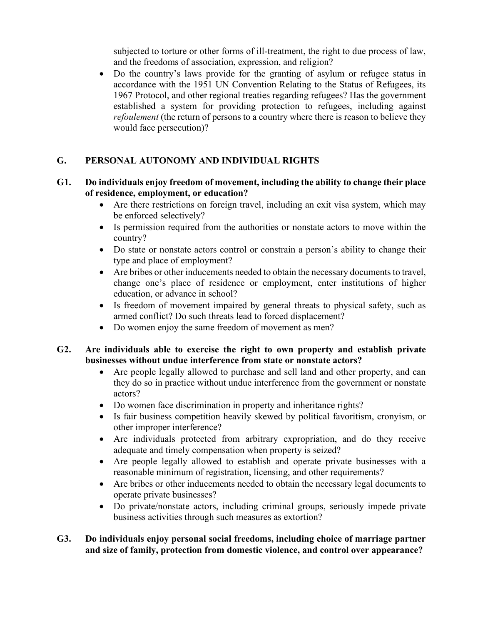subjected to torture or other forms of ill-treatment, the right to due process of law, and the freedoms of association, expression, and religion?

• Do the country's laws provide for the granting of asylum or refugee status in accordance with the 1951 UN Convention Relating to the Status of Refugees, its 1967 Protocol, and other regional treaties regarding refugees? Has the government established a system for providing protection to refugees, including against *refoulement* (the return of persons to a country where there is reason to believe they would face persecution)?

## **G. PERSONAL AUTONOMY AND INDIVIDUAL RIGHTS**

#### **G1. Do individuals enjoy freedom of movement, including the ability to change their place of residence, employment, or education?**

- Are there restrictions on foreign travel, including an exit visa system, which may be enforced selectively?
- Is permission required from the authorities or nonstate actors to move within the country?
- Do state or nonstate actors control or constrain a person's ability to change their type and place of employment?
- Are bribes or other inducements needed to obtain the necessary documents to travel, change one's place of residence or employment, enter institutions of higher education, or advance in school?
- Is freedom of movement impaired by general threats to physical safety, such as armed conflict? Do such threats lead to forced displacement?
- Do women enjoy the same freedom of movement as men?

#### **G2. Are individuals able to exercise the right to own property and establish private businesses without undue interference from state or nonstate actors?**

- Are people legally allowed to purchase and sell land and other property, and can they do so in practice without undue interference from the government or nonstate actors?
- Do women face discrimination in property and inheritance rights?
- Is fair business competition heavily skewed by political favoritism, cronyism, or other improper interference?
- Are individuals protected from arbitrary expropriation, and do they receive adequate and timely compensation when property is seized?
- Are people legally allowed to establish and operate private businesses with a reasonable minimum of registration, licensing, and other requirements?
- Are bribes or other inducements needed to obtain the necessary legal documents to operate private businesses?
- Do private/nonstate actors, including criminal groups, seriously impede private business activities through such measures as extortion?

#### **G3. Do individuals enjoy personal social freedoms, including choice of marriage partner and size of family, protection from domestic violence, and control over appearance?**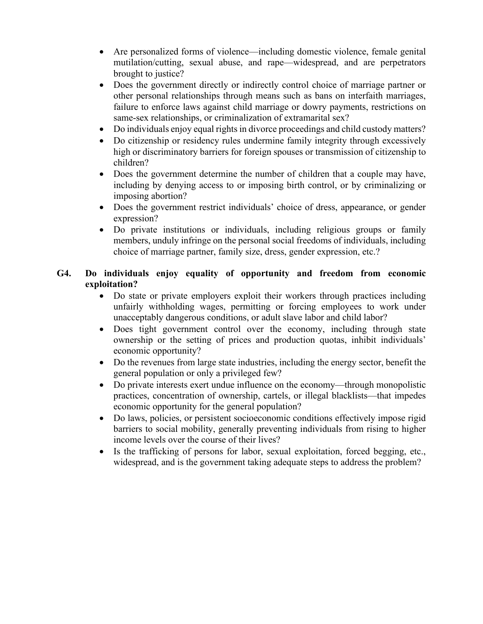- Are personalized forms of violence—including domestic violence, female genital mutilation/cutting, sexual abuse, and rape—widespread, and are perpetrators brought to justice?
- Does the government directly or indirectly control choice of marriage partner or other personal relationships through means such as bans on interfaith marriages, failure to enforce laws against child marriage or dowry payments, restrictions on same-sex relationships, or criminalization of extramarital sex?
- Do individuals enjoy equal rights in divorce proceedings and child custody matters?
- Do citizenship or residency rules undermine family integrity through excessively high or discriminatory barriers for foreign spouses or transmission of citizenship to children?
- Does the government determine the number of children that a couple may have, including by denying access to or imposing birth control, or by criminalizing or imposing abortion?
- Does the government restrict individuals' choice of dress, appearance, or gender expression?
- Do private institutions or individuals, including religious groups or family members, unduly infringe on the personal social freedoms of individuals, including choice of marriage partner, family size, dress, gender expression, etc.?

#### **G4. Do individuals enjoy equality of opportunity and freedom from economic exploitation?**

- Do state or private employers exploit their workers through practices including unfairly withholding wages, permitting or forcing employees to work under unacceptably dangerous conditions, or adult slave labor and child labor?
- Does tight government control over the economy, including through state ownership or the setting of prices and production quotas, inhibit individuals' economic opportunity?
- Do the revenues from large state industries, including the energy sector, benefit the general population or only a privileged few?
- Do private interests exert undue influence on the economy—through monopolistic practices, concentration of ownership, cartels, or illegal blacklists—that impedes economic opportunity for the general population?
- Do laws, policies, or persistent socioeconomic conditions effectively impose rigid barriers to social mobility, generally preventing individuals from rising to higher income levels over the course of their lives?
- Is the trafficking of persons for labor, sexual exploitation, forced begging, etc., widespread, and is the government taking adequate steps to address the problem?